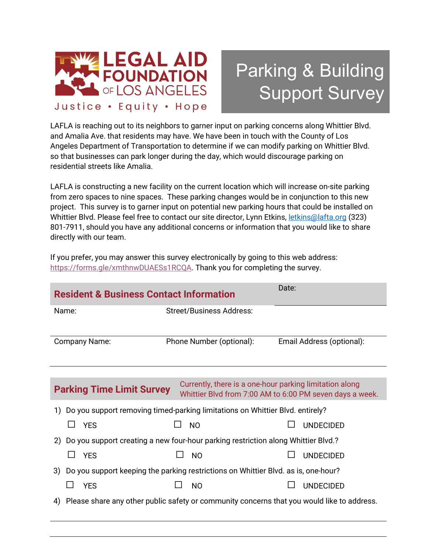

## Parking & Building Support Survey

LAFLA is reaching out to its neighbors to garner input on parking concerns along Whittier Blvd. and Amalia Ave. that residents may have. We have been in touch with the County of Los Angeles Department of Transportation to determine if we can modify parking on Whittier Blvd. so that businesses can park longer during the day, which would discourage parking on residential streets like Amalia.

LAFLA is constructing a new facility on the current location which will increase on-site parking from zero spaces to nine spaces. These parking changes would be in conjunction to this new project. This survey is to garner input on potential new parking hours that could be installed on Whittier Blvd. Please feel free to contact our site director, Lynn Etkins[, letkins@lafta.org](mailto:letkins@lafta.org) (323) 801-7911, should you have any additional concerns or information that you would like to share directly with our team.

If you prefer, you may answer this survey electronically by going to this web address: [https://forms.gle/xmthnwDUAESs1RCQA.](https://forms.gle/xmthnwDUAESs1RCQA) Thank you for completing the survey.

| <b>Resident &amp; Business Contact Information</b>                                               | Date:                                                   |                                                          |  |  |
|--------------------------------------------------------------------------------------------------|---------------------------------------------------------|----------------------------------------------------------|--|--|
| Name:                                                                                            | <b>Street/Business Address:</b>                         |                                                          |  |  |
| Company Name:                                                                                    | Phone Number (optional):                                | Email Address (optional):                                |  |  |
|                                                                                                  |                                                         |                                                          |  |  |
| <b>Parking Time Limit Survey</b>                                                                 | Currently, there is a one-hour parking limitation along | Whittier Blvd from 7:00 AM to 6:00 PM seven days a week. |  |  |
| 1) Do you support removing timed-parking limitations on Whittier Blvd. entirely?                 |                                                         |                                                          |  |  |
| <b>YES</b>                                                                                       | <b>NO</b>                                               | <b>UNDECIDED</b>                                         |  |  |
| 2) Do you support creating a new four-hour parking restriction along Whittier Blvd.?             |                                                         |                                                          |  |  |
| ∐ YES                                                                                            | <b>NO</b><br>$\blacksquare$                             | <b>UNDECIDED</b>                                         |  |  |
| Do you support keeping the parking restrictions on Whittier Blvd. as is, one-hour?<br>3)         |                                                         |                                                          |  |  |
| <b>YES</b>                                                                                       | N <sub>O</sub>                                          | <b>UNDECIDED</b>                                         |  |  |
| Please share any other public safety or community concerns that you would like to address.<br>4) |                                                         |                                                          |  |  |